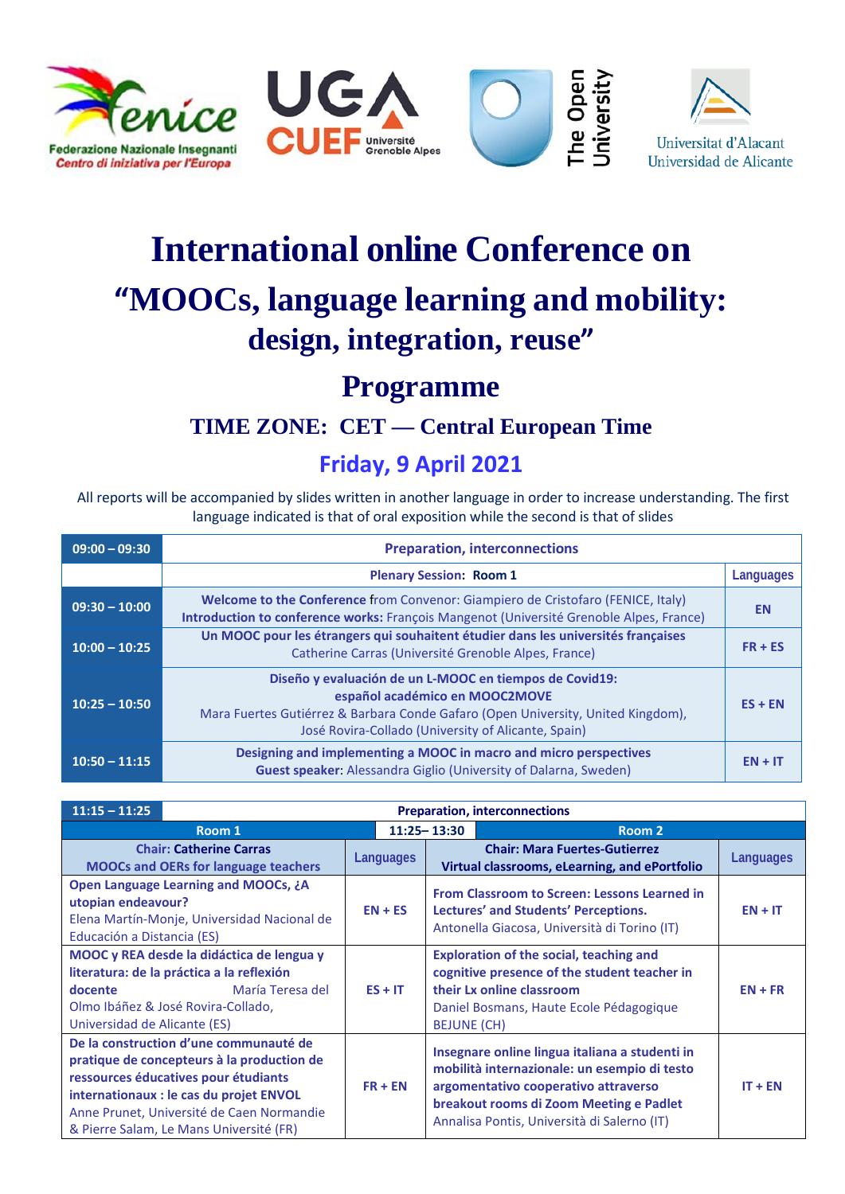

# **International online Conference on "MOOCs, language learning and mobility: design, integration, reuse"**

## **Programme**

## **TIME ZONE: CET — Central European Time**

### **Friday, 9 April 2021**

All reports will be accompanied by slides written in another language in order to increase understanding. The first language indicated is that of oral exposition while the second is that of slides

| $09:00 - 09:30$ | <b>Preparation, interconnections</b>                                                                                                                                                                                                 |           |
|-----------------|--------------------------------------------------------------------------------------------------------------------------------------------------------------------------------------------------------------------------------------|-----------|
|                 | <b>Plenary Session: Room 1</b>                                                                                                                                                                                                       | Languages |
| $09:30 - 10:00$ | Welcome to the Conference from Convenor: Giampiero de Cristofaro (FENICE, Italy)<br>Introduction to conference works: François Mangenot (Université Grenoble Alpes, France)                                                          | <b>EN</b> |
| $10:00 - 10:25$ | Un MOOC pour les étrangers qui souhaitent étudier dans les universités françaises<br>Catherine Carras (Université Grenoble Alpes, France)                                                                                            | $FR + ES$ |
| $10:25 - 10:50$ | Diseño y evaluación de un L-MOOC en tiempos de Covid19:<br>español académico en MOOC2MOVE<br>Mara Fuertes Gutiérrez & Barbara Conde Gafaro (Open University, United Kingdom),<br>José Rovira-Collado (University of Alicante, Spain) | $ES + EN$ |
| $10:50 - 11:15$ | Designing and implementing a MOOC in macro and micro perspectives<br><b>Guest speaker:</b> Alessandra Giglio (University of Dalarna, Sweden)                                                                                         | $EN + IT$ |

| $11:15 - 11:25$<br><b>Preparation, interconnections</b>                                                                                                                                                                                                         |                  |                    |                                                                                                                                                                                                                                  |           |
|-----------------------------------------------------------------------------------------------------------------------------------------------------------------------------------------------------------------------------------------------------------------|------------------|--------------------|----------------------------------------------------------------------------------------------------------------------------------------------------------------------------------------------------------------------------------|-----------|
| Room 1                                                                                                                                                                                                                                                          |                  | $11:25 - 13:30$    | Room 2                                                                                                                                                                                                                           |           |
| <b>Chair: Catherine Carras</b><br><b>MOOCs and OERs for language teachers</b>                                                                                                                                                                                   | <b>Languages</b> |                    | <b>Chair: Mara Fuertes-Gutierrez</b><br>Virtual classrooms, eLearning, and ePortfolio                                                                                                                                            | Languages |
| <b>Open Language Learning and MOOCs, ¿A</b><br>utopian endeavour?<br>Elena Martín-Monje, Universidad Nacional de<br>Educación a Distancia (ES)                                                                                                                  | $EN + ES$        |                    | From Classroom to Screen: Lessons Learned in<br>Lectures' and Students' Perceptions.<br>Antonella Giacosa, Università di Torino (IT)                                                                                             | $EN + IT$ |
| MOOC y REA desde la didáctica de lengua y<br>literatura: de la práctica a la reflexión<br>María Teresa del<br>docente<br>Olmo Ibáñez & José Rovira-Collado,<br>Universidad de Alicante (ES)                                                                     | $ES + IT$        | <b>BEJUNE (CH)</b> | <b>Exploration of the social, teaching and</b><br>cognitive presence of the student teacher in<br>their Lx online classroom<br>Daniel Bosmans, Haute Ecole Pédagogique                                                           | $EN + FR$ |
| De la construction d'une communauté de<br>pratique de concepteurs à la production de<br>ressources éducatives pour étudiants<br>internationaux : le cas du projet ENVOL<br>Anne Prunet, Université de Caen Normandie<br>& Pierre Salam, Le Mans Université (FR) | $FR + EN$        |                    | Insegnare online lingua italiana a studenti in<br>mobilità internazionale: un esempio di testo<br>argomentativo cooperativo attraverso<br>breakout rooms di Zoom Meeting e Padlet<br>Annalisa Pontis, Università di Salerno (IT) | $IT + EN$ |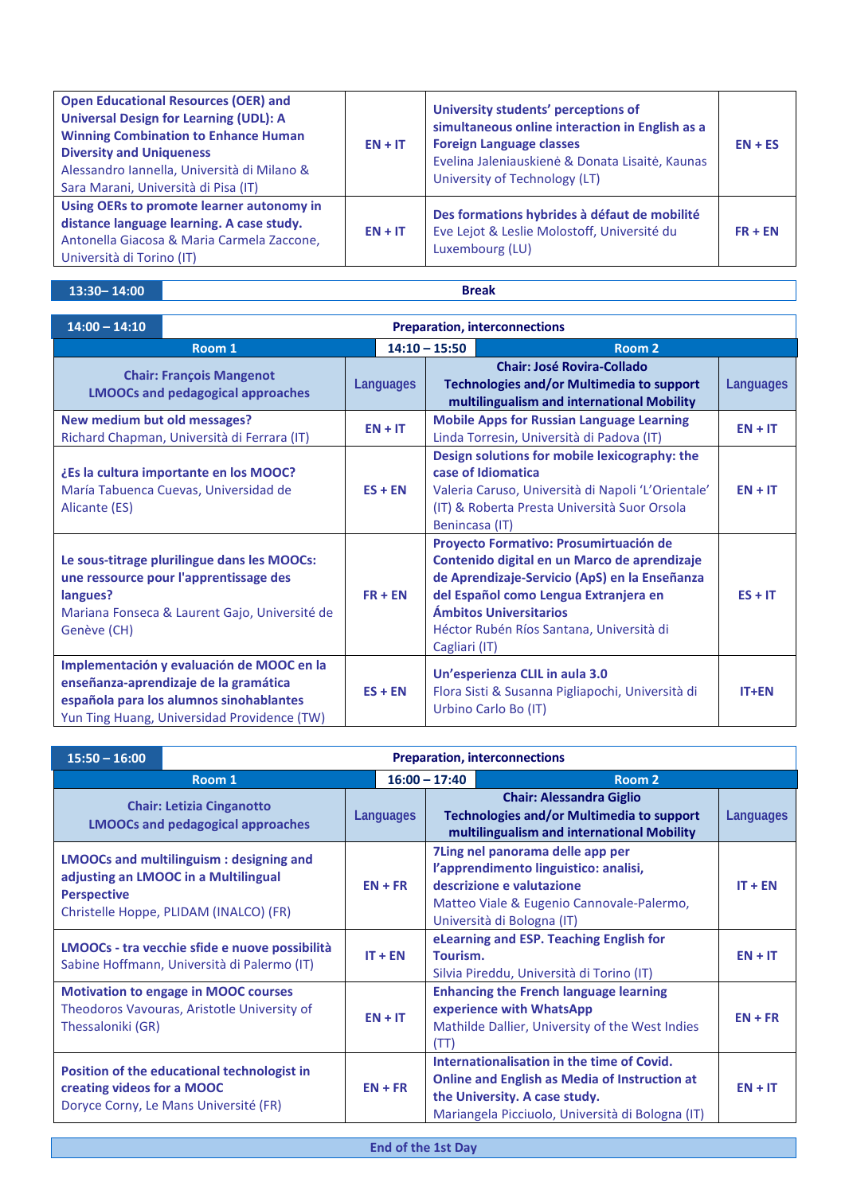| <b>Open Educational Resources (OER) and</b><br><b>Universal Design for Learning (UDL): A</b><br><b>Winning Combination to Enhance Human</b><br><b>Diversity and Uniqueness</b><br>Alessandro Iannella, Università di Milano &<br>Sara Marani, Università di Pisa (IT) | $EN + IT$ | University students' perceptions of<br>simultaneous online interaction in English as a<br><b>Foreign Language classes</b><br>Evelina Jaleniauskienė & Donata Lisaitė, Kaunas<br>University of Technology (LT) | $EN + ES$ |
|-----------------------------------------------------------------------------------------------------------------------------------------------------------------------------------------------------------------------------------------------------------------------|-----------|---------------------------------------------------------------------------------------------------------------------------------------------------------------------------------------------------------------|-----------|
| Using OERs to promote learner autonomy in<br>distance language learning. A case study.<br>Antonella Giacosa & Maria Carmela Zaccone,<br>Università di Torino (IT)                                                                                                     | $EN + IT$ | Des formations hybrides à défaut de mobilité<br>Eve Lejot & Leslie Molostoff, Université du<br>Luxembourg (LU)                                                                                                | $FR + EN$ |

#### **13:30– 14:00 Break**

| $14:00 - 14:10$                                                             | <b>Preparation, interconnections</b>                                                                                                                                         |                           |                                                                                                                              |                                                                                                                                                                                                                                                        |           |  |
|-----------------------------------------------------------------------------|------------------------------------------------------------------------------------------------------------------------------------------------------------------------------|---------------------------|------------------------------------------------------------------------------------------------------------------------------|--------------------------------------------------------------------------------------------------------------------------------------------------------------------------------------------------------------------------------------------------------|-----------|--|
|                                                                             | Room 1                                                                                                                                                                       | $14:10 - 15:50$<br>Room 2 |                                                                                                                              |                                                                                                                                                                                                                                                        |           |  |
| <b>Chair: François Mangenot</b><br><b>LMOOCs and pedagogical approaches</b> |                                                                                                                                                                              | Languages                 | <b>Chair: José Rovira-Collado</b><br>Technologies and/or Multimedia to support<br>multilingualism and international Mobility |                                                                                                                                                                                                                                                        | Languages |  |
| New medium but old messages?                                                | Richard Chapman, Università di Ferrara (IT)                                                                                                                                  | $EN + IT$                 |                                                                                                                              | <b>Mobile Apps for Russian Language Learning</b><br>Linda Torresin, Università di Padova (IT)                                                                                                                                                          | $EN + IT$ |  |
| Alicante (ES)                                                               | ¿Es la cultura importante en los MOOC?<br>María Tabuenca Cuevas, Universidad de                                                                                              | $ES + EN$                 | Benincasa (IT)                                                                                                               | Design solutions for mobile lexicography: the<br>case of Idiomatica<br>Valeria Caruso, Università di Napoli 'L'Orientale'<br>(IT) & Roberta Presta Università Suor Orsola                                                                              | $EN + IT$ |  |
| langues?<br>Genève (CH)                                                     | Le sous-titrage plurilingue dans les MOOCs:<br>une ressource pour l'apprentissage des<br>Mariana Fonseca & Laurent Gajo, Université de                                       | $FR + EN$                 | Cagliari (IT)                                                                                                                | Proyecto Formativo: Prosumirtuación de<br>Contenido digital en un Marco de aprendizaje<br>de Aprendizaje-Servicio (ApS) en la Enseñanza<br>del Español como Lengua Extranjera en<br>Ámbitos Universitarios<br>Héctor Rubén Ríos Santana, Università di | $ES + IT$ |  |
|                                                                             | Implementación y evaluación de MOOC en la<br>enseñanza-aprendizaje de la gramática<br>española para los alumnos sinohablantes<br>Yun Ting Huang, Universidad Providence (TW) | $ES + EN$                 |                                                                                                                              | Un'esperienza CLIL in aula 3.0<br>Flora Sisti & Susanna Pigliapochi, Università di<br>Urbino Carlo Bo (IT)                                                                                                                                             | $IT+EN$   |  |

| <b>Preparation, interconnections</b><br>$15:50 - 16:00$                                                                                                |                 |                       |                                                                                                                                                                                         |           |  |
|--------------------------------------------------------------------------------------------------------------------------------------------------------|-----------------|-----------------------|-----------------------------------------------------------------------------------------------------------------------------------------------------------------------------------------|-----------|--|
| Room 1                                                                                                                                                 | $16:00 - 17:40$ | Room <sub>2</sub>     |                                                                                                                                                                                         |           |  |
| <b>Chair: Letizia Cinganotto</b><br><b>LMOOCs and pedagogical approaches</b>                                                                           |                 | Languages             | <b>Chair: Alessandra Giglio</b><br><b>Technologies and/or Multimedia to support</b><br>multilingualism and international Mobility                                                       | Languages |  |
| <b>LMOOCs and multilinguism: designing and</b><br>adjusting an LMOOC in a Multilingual<br><b>Perspective</b><br>Christelle Hoppe, PLIDAM (INALCO) (FR) |                 | $EN + FR$             | 7Ling nel panorama delle app per<br>l'apprendimento linguistico: analisi,<br>descrizione e valutazione<br>Matteo Viale & Eugenio Cannovale-Palermo,<br>Università di Bologna (IT)       | $IT + EN$ |  |
| LMOOCs - tra vecchie sfide e nuove possibilità<br>Sabine Hoffmann, Università di Palermo (IT)                                                          |                 | $IT + EN$<br>Tourism. | eLearning and ESP. Teaching English for<br>Silvia Pireddu, Università di Torino (IT)                                                                                                    | $EN + IT$ |  |
| <b>Motivation to engage in MOOC courses</b><br>Theodoros Vavouras, Aristotle University of<br>Thessaloniki (GR)                                        |                 | $EN + IT$<br>(TT)     | <b>Enhancing the French language learning</b><br>experience with WhatsApp<br>Mathilde Dallier, University of the West Indies                                                            | $EN + FR$ |  |
| Position of the educational technologist in<br>creating videos for a MOOC<br>Doryce Corny, Le Mans Université (FR)                                     |                 | $EN + FR$             | Internationalisation in the time of Covid.<br><b>Online and English as Media of Instruction at</b><br>the University. A case study.<br>Mariangela Picciuolo, Università di Bologna (IT) | $EN + IT$ |  |

**End of the 1st Day**